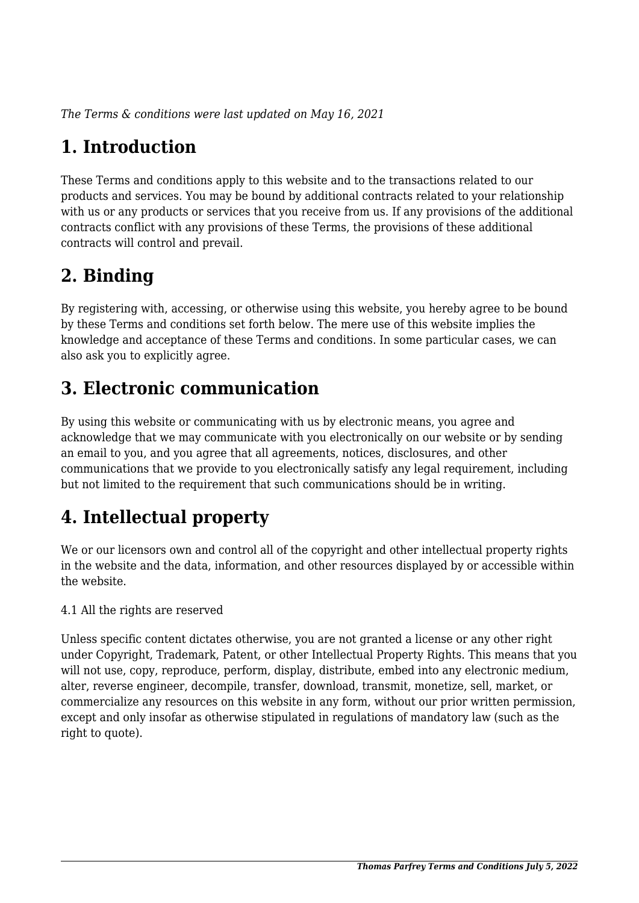*The Terms & conditions were last updated on May 16, 2021*

# **1. Introduction**

These Terms and conditions apply to this website and to the transactions related to our products and services. You may be bound by additional contracts related to your relationship with us or any products or services that you receive from us. If any provisions of the additional contracts conflict with any provisions of these Terms, the provisions of these additional contracts will control and prevail.

# **2. Binding**

By registering with, accessing, or otherwise using this website, you hereby agree to be bound by these Terms and conditions set forth below. The mere use of this website implies the knowledge and acceptance of these Terms and conditions. In some particular cases, we can also ask you to explicitly agree.

# **3. Electronic communication**

By using this website or communicating with us by electronic means, you agree and acknowledge that we may communicate with you electronically on our website or by sending an email to you, and you agree that all agreements, notices, disclosures, and other communications that we provide to you electronically satisfy any legal requirement, including but not limited to the requirement that such communications should be in writing.

# **4. Intellectual property**

We or our licensors own and control all of the copyright and other intellectual property rights in the website and the data, information, and other resources displayed by or accessible within the website.

4.1 All the rights are reserved

Unless specific content dictates otherwise, you are not granted a license or any other right under Copyright, Trademark, Patent, or other Intellectual Property Rights. This means that you will not use, copy, reproduce, perform, display, distribute, embed into any electronic medium, alter, reverse engineer, decompile, transfer, download, transmit, monetize, sell, market, or commercialize any resources on this website in any form, without our prior written permission, except and only insofar as otherwise stipulated in regulations of mandatory law (such as the right to quote).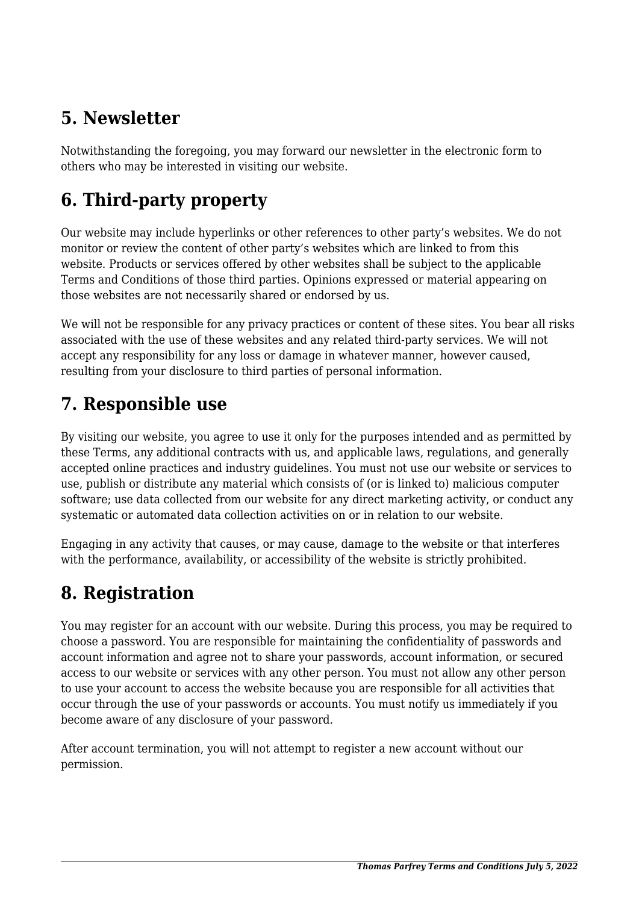# **5. Newsletter**

Notwithstanding the foregoing, you may forward our newsletter in the electronic form to others who may be interested in visiting our website.

# **6. Third-party property**

Our website may include hyperlinks or other references to other party's websites. We do not monitor or review the content of other party's websites which are linked to from this website. Products or services offered by other websites shall be subject to the applicable Terms and Conditions of those third parties. Opinions expressed or material appearing on those websites are not necessarily shared or endorsed by us.

We will not be responsible for any privacy practices or content of these sites. You bear all risks associated with the use of these websites and any related third-party services. We will not accept any responsibility for any loss or damage in whatever manner, however caused, resulting from your disclosure to third parties of personal information.

#### **7. Responsible use**

By visiting our website, you agree to use it only for the purposes intended and as permitted by these Terms, any additional contracts with us, and applicable laws, regulations, and generally accepted online practices and industry guidelines. You must not use our website or services to use, publish or distribute any material which consists of (or is linked to) malicious computer software; use data collected from our website for any direct marketing activity, or conduct any systematic or automated data collection activities on or in relation to our website.

Engaging in any activity that causes, or may cause, damage to the website or that interferes with the performance, availability, or accessibility of the website is strictly prohibited.

# **8. Registration**

You may register for an account with our website. During this process, you may be required to choose a password. You are responsible for maintaining the confidentiality of passwords and account information and agree not to share your passwords, account information, or secured access to our website or services with any other person. You must not allow any other person to use your account to access the website because you are responsible for all activities that occur through the use of your passwords or accounts. You must notify us immediately if you become aware of any disclosure of your password.

After account termination, you will not attempt to register a new account without our permission.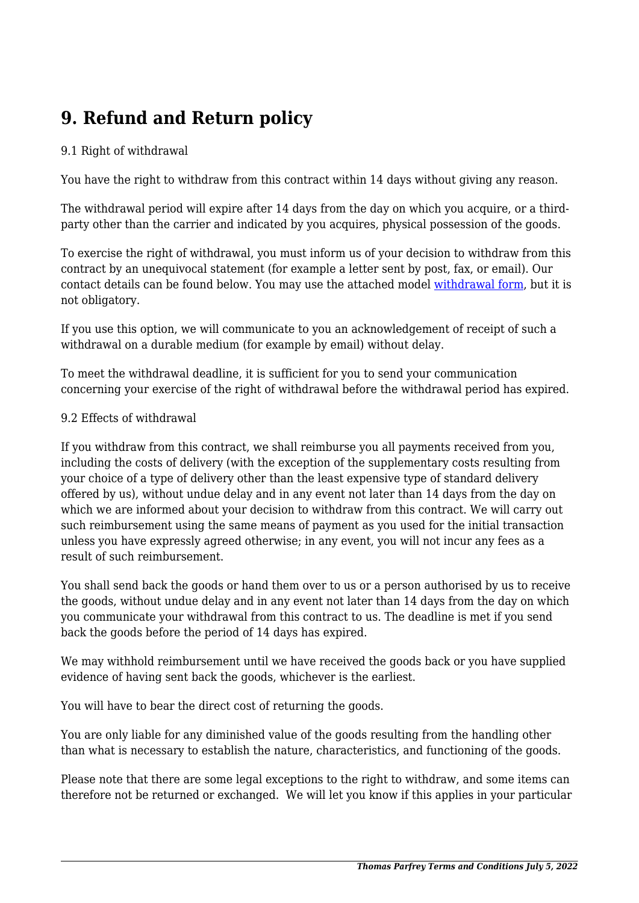# **9. Refund and Return policy**

#### 9.1 Right of withdrawal

You have the right to withdraw from this contract within 14 days without giving any reason.

The withdrawal period will expire after 14 days from the day on which you acquire, or a thirdparty other than the carrier and indicated by you acquires, physical possession of the goods.

To exercise the right of withdrawal, you must inform us of your decision to withdraw from this contract by an unequivocal statement (for example a letter sent by post, fax, or email). Our contact details can be found below. You may use the attached model [withdrawal form](https://thomasparfrey.com/wp-content/uploads/complianz/withdrawal-forms/withdrawal-form-en.pdf), but it is not obligatory.

If you use this option, we will communicate to you an acknowledgement of receipt of such a withdrawal on a durable medium (for example by email) without delay.

To meet the withdrawal deadline, it is sufficient for you to send your communication concerning your exercise of the right of withdrawal before the withdrawal period has expired.

#### 9.2 Effects of withdrawal

If you withdraw from this contract, we shall reimburse you all payments received from you, including the costs of delivery (with the exception of the supplementary costs resulting from your choice of a type of delivery other than the least expensive type of standard delivery offered by us), without undue delay and in any event not later than 14 days from the day on which we are informed about your decision to withdraw from this contract. We will carry out such reimbursement using the same means of payment as you used for the initial transaction unless you have expressly agreed otherwise; in any event, you will not incur any fees as a result of such reimbursement.

You shall send back the goods or hand them over to us or a person authorised by us to receive the goods, without undue delay and in any event not later than 14 days from the day on which you communicate your withdrawal from this contract to us. The deadline is met if you send back the goods before the period of 14 days has expired.

We may withhold reimbursement until we have received the goods back or you have supplied evidence of having sent back the goods, whichever is the earliest.

You will have to bear the direct cost of returning the goods.

You are only liable for any diminished value of the goods resulting from the handling other than what is necessary to establish the nature, characteristics, and functioning of the goods.

Please note that there are some legal exceptions to the right to withdraw, and some items can therefore not be returned or exchanged. We will let you know if this applies in your particular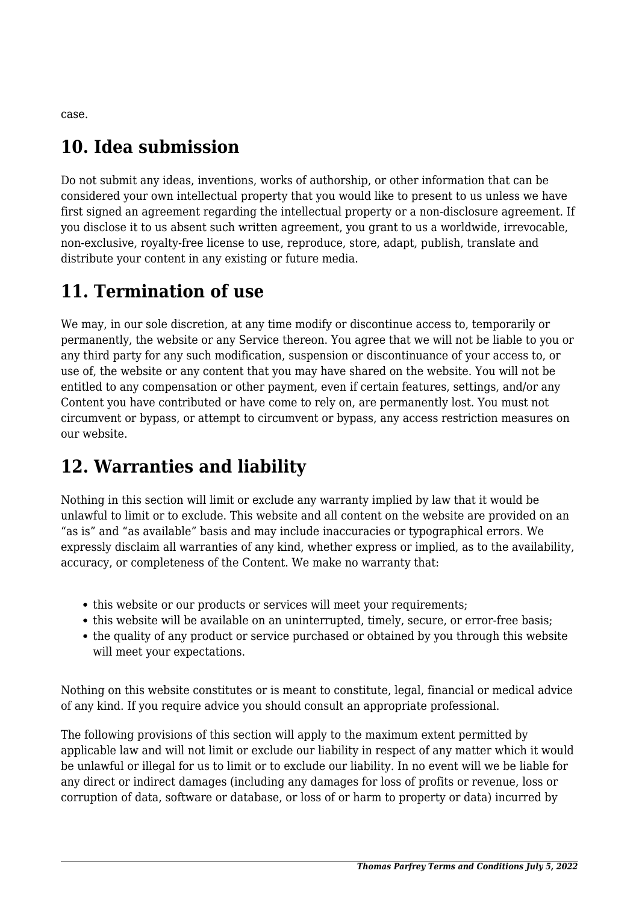case.

# **10. Idea submission**

Do not submit any ideas, inventions, works of authorship, or other information that can be considered your own intellectual property that you would like to present to us unless we have first signed an agreement regarding the intellectual property or a non-disclosure agreement. If you disclose it to us absent such written agreement, you grant to us a worldwide, irrevocable, non-exclusive, royalty-free license to use, reproduce, store, adapt, publish, translate and distribute your content in any existing or future media.

### **11. Termination of use**

We may, in our sole discretion, at any time modify or discontinue access to, temporarily or permanently, the website or any Service thereon. You agree that we will not be liable to you or any third party for any such modification, suspension or discontinuance of your access to, or use of, the website or any content that you may have shared on the website. You will not be entitled to any compensation or other payment, even if certain features, settings, and/or any Content you have contributed or have come to rely on, are permanently lost. You must not circumvent or bypass, or attempt to circumvent or bypass, any access restriction measures on our website.

# **12. Warranties and liability**

Nothing in this section will limit or exclude any warranty implied by law that it would be unlawful to limit or to exclude. This website and all content on the website are provided on an "as is" and "as available" basis and may include inaccuracies or typographical errors. We expressly disclaim all warranties of any kind, whether express or implied, as to the availability, accuracy, or completeness of the Content. We make no warranty that:

- this website or our products or services will meet your requirements;
- this website will be available on an uninterrupted, timely, secure, or error-free basis;
- the quality of any product or service purchased or obtained by you through this website will meet your expectations.

Nothing on this website constitutes or is meant to constitute, legal, financial or medical advice of any kind. If you require advice you should consult an appropriate professional.

The following provisions of this section will apply to the maximum extent permitted by applicable law and will not limit or exclude our liability in respect of any matter which it would be unlawful or illegal for us to limit or to exclude our liability. In no event will we be liable for any direct or indirect damages (including any damages for loss of profits or revenue, loss or corruption of data, software or database, or loss of or harm to property or data) incurred by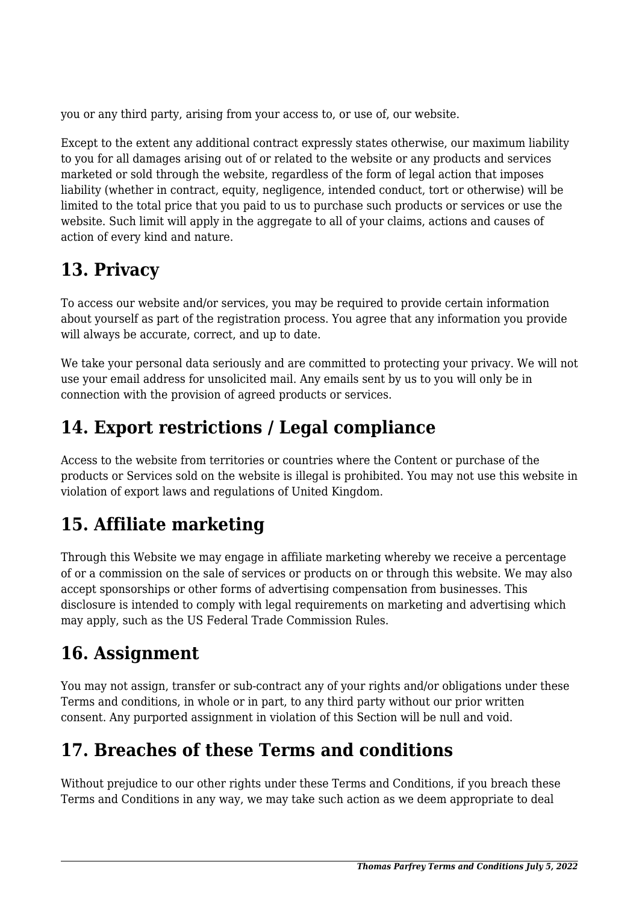you or any third party, arising from your access to, or use of, our website.

Except to the extent any additional contract expressly states otherwise, our maximum liability to you for all damages arising out of or related to the website or any products and services marketed or sold through the website, regardless of the form of legal action that imposes liability (whether in contract, equity, negligence, intended conduct, tort or otherwise) will be limited to the total price that you paid to us to purchase such products or services or use the website. Such limit will apply in the aggregate to all of your claims, actions and causes of action of every kind and nature.

#### **13. Privacy**

To access our website and/or services, you may be required to provide certain information about yourself as part of the registration process. You agree that any information you provide will always be accurate, correct, and up to date.

We take your personal data seriously and are committed to protecting your privacy. We will not use your email address for unsolicited mail. Any emails sent by us to you will only be in connection with the provision of agreed products or services.

### **14. Export restrictions / Legal compliance**

Access to the website from territories or countries where the Content or purchase of the products or Services sold on the website is illegal is prohibited. You may not use this website in violation of export laws and regulations of United Kingdom.

# **15. Affiliate marketing**

Through this Website we may engage in affiliate marketing whereby we receive a percentage of or a commission on the sale of services or products on or through this website. We may also accept sponsorships or other forms of advertising compensation from businesses. This disclosure is intended to comply with legal requirements on marketing and advertising which may apply, such as the US Federal Trade Commission Rules.

# **16. Assignment**

You may not assign, transfer or sub-contract any of your rights and/or obligations under these Terms and conditions, in whole or in part, to any third party without our prior written consent. Any purported assignment in violation of this Section will be null and void.

# **17. Breaches of these Terms and conditions**

Without prejudice to our other rights under these Terms and Conditions, if you breach these Terms and Conditions in any way, we may take such action as we deem appropriate to deal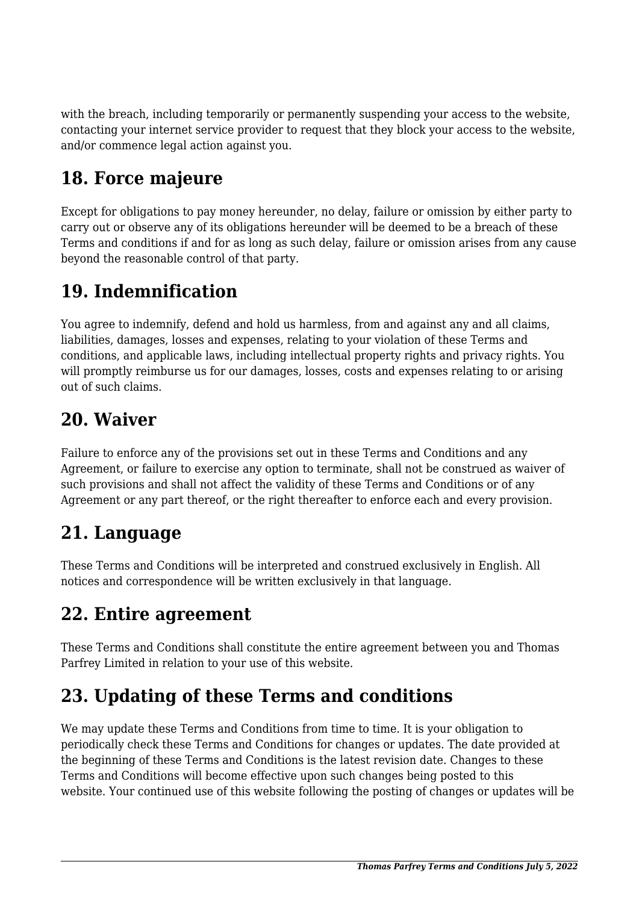with the breach, including temporarily or permanently suspending your access to the website, contacting your internet service provider to request that they block your access to the website, and/or commence legal action against you.

### **18. Force majeure**

Except for obligations to pay money hereunder, no delay, failure or omission by either party to carry out or observe any of its obligations hereunder will be deemed to be a breach of these Terms and conditions if and for as long as such delay, failure or omission arises from any cause beyond the reasonable control of that party.

### **19. Indemnification**

You agree to indemnify, defend and hold us harmless, from and against any and all claims, liabilities, damages, losses and expenses, relating to your violation of these Terms and conditions, and applicable laws, including intellectual property rights and privacy rights. You will promptly reimburse us for our damages, losses, costs and expenses relating to or arising out of such claims.

### **20. Waiver**

Failure to enforce any of the provisions set out in these Terms and Conditions and any Agreement, or failure to exercise any option to terminate, shall not be construed as waiver of such provisions and shall not affect the validity of these Terms and Conditions or of any Agreement or any part thereof, or the right thereafter to enforce each and every provision.

#### **21. Language**

These Terms and Conditions will be interpreted and construed exclusively in English. All notices and correspondence will be written exclusively in that language.

#### **22. Entire agreement**

These Terms and Conditions shall constitute the entire agreement between you and Thomas Parfrey Limited in relation to your use of this website.

# **23. Updating of these Terms and conditions**

We may update these Terms and Conditions from time to time. It is your obligation to periodically check these Terms and Conditions for changes or updates. The date provided at the beginning of these Terms and Conditions is the latest revision date. Changes to these Terms and Conditions will become effective upon such changes being posted to this website. Your continued use of this website following the posting of changes or updates will be